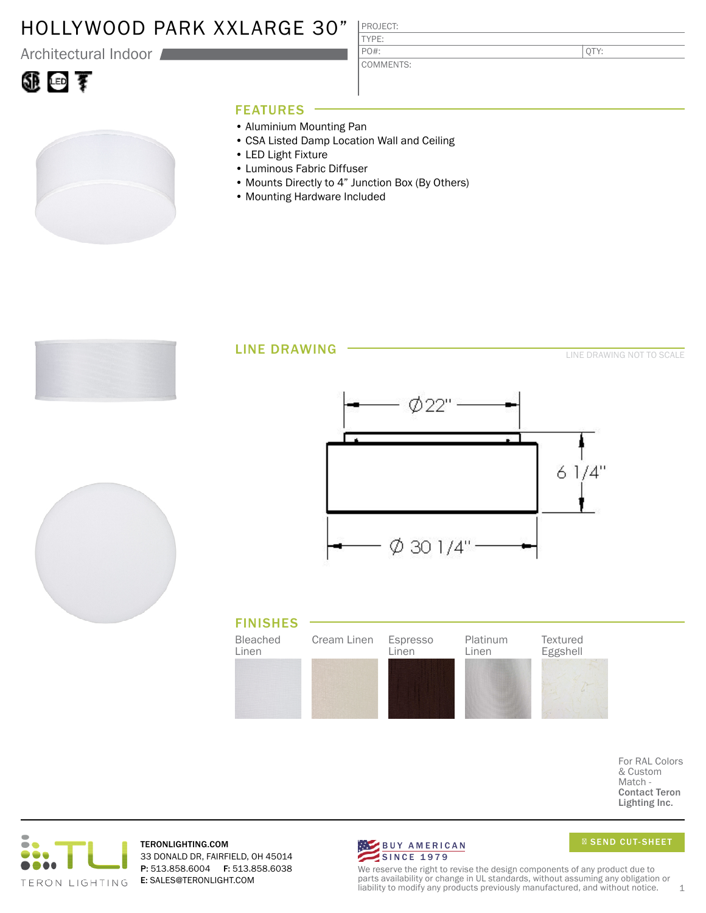## HOLLYWOOD PARK XXLARGE 30"

Architectural Indoor

# ①回す

#### TYPE: PO#:

COMMENTS:

PROJECT:

QTY:

### FEATURES

- Aluminium Mounting Pan
- CSA Listed Damp Location Wall and Ceiling
- LED Light Fixture
- Luminous Fabric Diffuser
- Mounts Directly to 4" Junction Box (By Others)
- Mounting Hardware Included



For RAL Colors & Custom Match - Contact Teron Lighting Inc.



TERONLIGHTING.COM 33 DONALD DR, FAIRFIELD, OH 45014 P: 513.858.6004 F: 513.858.6038 E: SALES@TERONLIGHT.COM



SEND CUT-SHEET

We reserve the right to revise the design components of any product due to parts availability or change in UL standards, without assuming any obligation or liability to modify any products previously manufactured, and without notice.  $1$